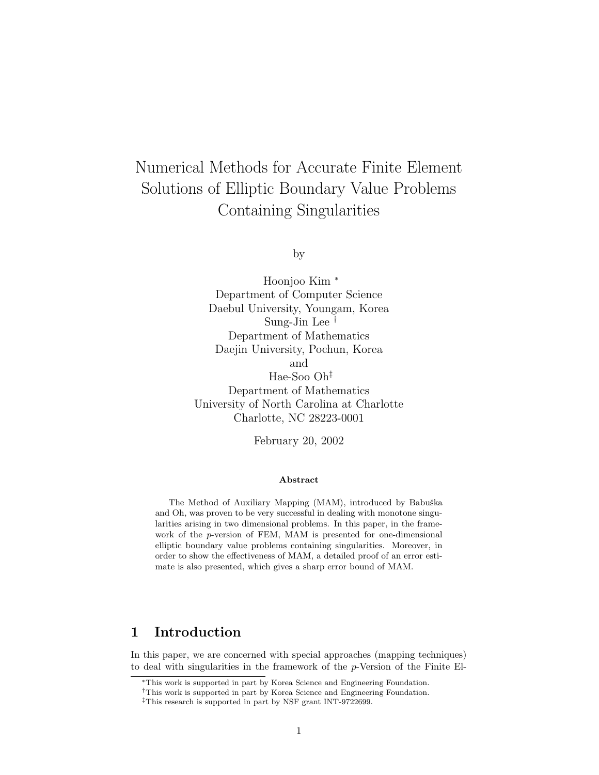# Numerical Methods for Accurate Finite Element Solutions of Elliptic Boundary Value Problems Containing Singularities

by

Hoonjoo Kim <sup>∗</sup> Department of Computer Science Daebul University, Youngam, Korea Sung-Jin Lee † Department of Mathematics Daejin University, Pochun, Korea and Hae-Soo Oh‡ Department of Mathematics University of North Carolina at Charlotte Charlotte, NC 28223-0001

February 20, 2002

#### Abstract

The Method of Auxiliary Mapping (MAM), introduced by Babuška and Oh, was proven to be very successful in dealing with monotone singularities arising in two dimensional problems. In this paper, in the framework of the p-version of FEM, MAM is presented for one-dimensional elliptic boundary value problems containing singularities. Moreover, in order to show the effectiveness of MAM, a detailed proof of an error estimate is also presented, which gives a sharp error bound of MAM.

# 1 Introduction

In this paper, we are concerned with special approaches (mapping techniques) to deal with singularities in the framework of the p-Version of the Finite El-

<sup>∗</sup>This work is supported in part by Korea Science and Engineering Foundation.

<sup>†</sup>This work is supported in part by Korea Science and Engineering Foundation.

<sup>‡</sup>This research is supported in part by NSF grant INT-9722699.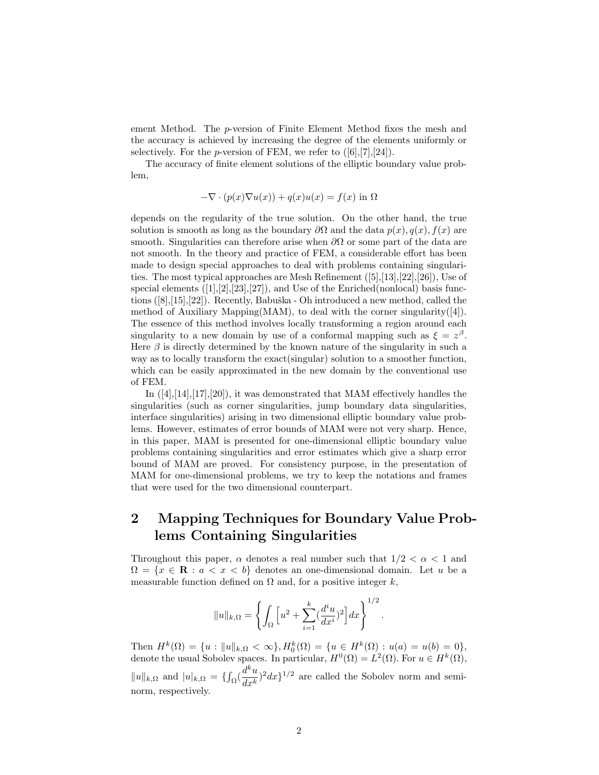ement Method. The p-version of Finite Element Method fixes the mesh and the accuracy is achieved by increasing the degree of the elements uniformly or selectively. For the *p*-version of FEM, we refer to  $([6],[7],[24])$ .

The accuracy of finite element solutions of the elliptic boundary value problem,

$$
-\nabla \cdot (p(x)\nabla u(x)) + q(x)u(x) = f(x) \text{ in } \Omega
$$

depends on the regularity of the true solution. On the other hand, the true solution is smooth as long as the boundary  $\partial\Omega$  and the data  $p(x), q(x), f(x)$  are smooth. Singularities can therefore arise when  $\partial\Omega$  or some part of the data are not smooth. In the theory and practice of FEM, a considerable effort has been made to design special approaches to deal with problems containing singularities. The most typical approaches are Mesh Refinement  $([5],[13],[22],[26])$ , Use of special elements  $([1],[2],[23],[27])$ , and Use of the Enriched(nonlocal) basis functions  $([8],[15],[22])$ . Recently, Babuška - Oh introduced a new method, called the method of Auxiliary Mapping(MAM), to deal with the corner singularity([4]). The essence of this method involves locally transforming a region around each singularity to a new domain by use of a conformal mapping such as  $\xi = z^{\beta}$ . Here  $\beta$  is directly determined by the known nature of the singularity in such a way as to locally transform the exact(singular) solution to a smoother function, which can be easily approximated in the new domain by the conventional use of FEM.

In ([4],[14],[17],[20]), it was demonstrated that MAM effectively handles the singularities (such as corner singularities, jump boundary data singularities, interface singularities) arising in two dimensional elliptic boundary value problems. However, estimates of error bounds of MAM were not very sharp. Hence, in this paper, MAM is presented for one-dimensional elliptic boundary value problems containing singularities and error estimates which give a sharp error bound of MAM are proved. For consistency purpose, in the presentation of MAM for one-dimensional problems, we try to keep the notations and frames that were used for the two dimensional counterpart.

# 2 Mapping Techniques for Boundary Value Problems Containing Singularities

Throughout this paper,  $\alpha$  denotes a real number such that  $1/2 < \alpha < 1$  and  $\Omega = \{x \in \mathbf{R} : a < x < b\}$  denotes an one-dimensional domain. Let u be a measurable function defined on  $\Omega$  and, for a positive integer k,

$$
||u||_{k,\Omega} = \left\{ \int_{\Omega} \left[ u^2 + \sum_{i=1}^{k} \left( \frac{d^i u}{dx^i} \right)^2 \right] dx \right\}^{1/2}.
$$

Then  $H^k(\Omega) = \{u : ||u||_{k,\Omega} < \infty\}, H_0^k(\Omega) = \{u \in H^k(\Omega) : u(a) = u(b) = 0\},\$ denote the usual Sobolev spaces. In particular,  $H^0(\Omega) = L^2(\Omega)$ . For  $u \in H^k(\Omega)$ ,  $||u||_{k,\Omega}$  and  $|u|_{k,\Omega} = \{ \int_{\Omega} (\frac{d^k u}{dx^k})$  $\frac{d}{dx^k}$ )<sup>2</sup> $dx$ <sup>1/2</sup> are called the Sobolev norm and seminorm, respectively.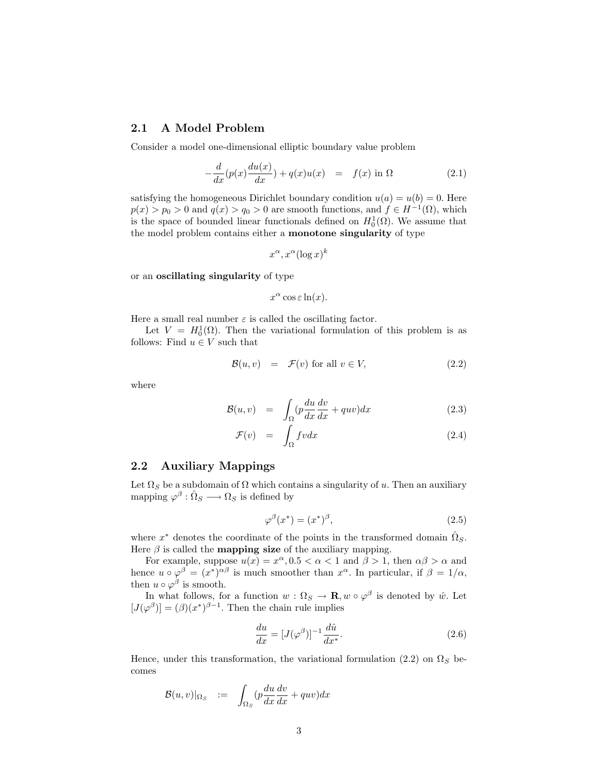#### 2.1 A Model Problem

Consider a model one-dimensional elliptic boundary value problem

$$
-\frac{d}{dx}(p(x)\frac{du(x)}{dx}) + q(x)u(x) = f(x) \text{ in } \Omega
$$
 (2.1)

satisfying the homogeneous Dirichlet boundary condition  $u(a) = u(b) = 0$ . Here  $p(x) > p_0 > 0$  and  $q(x) > q_0 > 0$  are smooth functions, and  $f \in H^{-1}(\Omega)$ , which is the space of bounded linear functionals defined on  $H_0^1(\Omega)$ . We assume that the model problem contains either a monotone singularity of type

$$
x^{\alpha}, x^{\alpha}(\log x)^k
$$

or an oscillating singularity of type

$$
x^{\alpha}\cos \varepsilon \ln(x).
$$

Here a small real number  $\varepsilon$  is called the oscillating factor.

Let  $V = H_0^1(\Omega)$ . Then the variational formulation of this problem is as follows: Find  $u \in V$  such that

$$
\mathcal{B}(u,v) = \mathcal{F}(v) \text{ for all } v \in V,
$$
\n(2.2)

where

$$
\mathcal{B}(u,v) = \int_{\Omega} (p \frac{du}{dx} \frac{dv}{dx} + quv) dx \qquad (2.3)
$$

$$
\mathcal{F}(v) = \int_{\Omega} fvdx \tag{2.4}
$$

#### 2.2 Auxiliary Mappings

Let  $\Omega_S$  be a subdomain of  $\Omega$  which contains a singularity of u. Then an auxiliary mapping  $\varphi^{\beta} : \hat{\Omega}_S \longrightarrow \Omega_S$  is defined by

$$
\varphi^{\beta}(x^*) = (x^*)^{\beta},\tag{2.5}
$$

where  $x^*$  denotes the coordinate of the points in the transformed domain  $\hat{\Omega}_S$ . Here  $\beta$  is called the **mapping size** of the auxiliary mapping.

For example, suppose  $u(x) = x^{\alpha}, 0.5 < \alpha < 1$  and  $\beta > 1$ , then  $\alpha\beta > \alpha$  and hence  $u \circ \varphi^{\beta} = (x^*)^{\alpha\beta}$  is much smoother than  $x^{\alpha}$ . In particular, if  $\beta = 1/\alpha$ , then  $u \circ \varphi^{\beta}$  is smooth.

In what follows, for a function  $w : \Omega_S \to \mathbf{R}, w \circ \varphi^{\beta}$  is denoted by  $\hat{w}$ . Let  $[J(\varphi^{\beta})] = (\beta)(x^*)^{\beta-1}$ . Then the chain rule implies

$$
\frac{du}{dx} = [J(\varphi^{\beta})]^{-1} \frac{d\hat{u}}{dx^*}.
$$
\n(2.6)

Hence, under this transformation, the variational formulation (2.2) on  $\Omega_S$  becomes

$$
\mathcal{B}(u,v)|_{\Omega_S} := \int_{\Omega_S} (p\frac{du}{dx}\frac{dv}{dx} + quv)dx
$$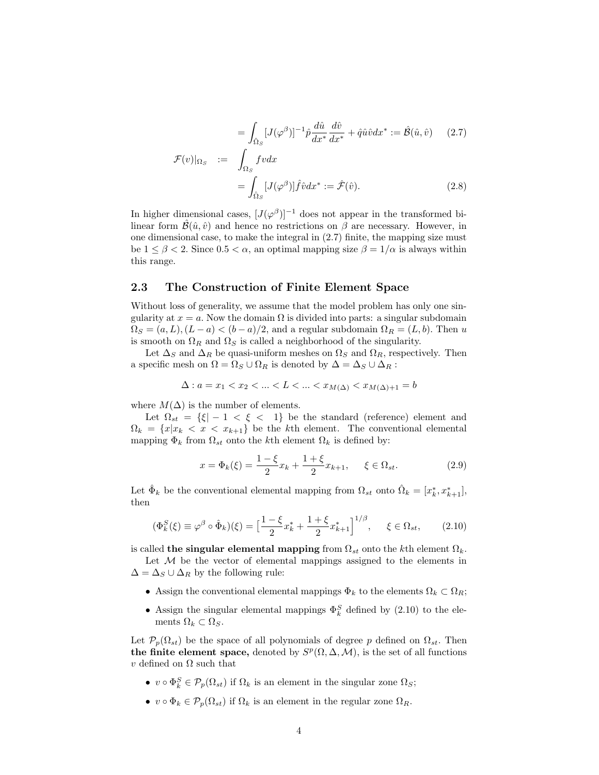$$
= \int_{\hat{\Omega}_S} [J(\varphi^{\beta})]^{-1} \hat{p} \frac{d\hat{u}}{dx^*} \frac{d\hat{v}}{dx^*} + \hat{q}\hat{u}\hat{v} dx^* := \hat{\mathcal{B}}(\hat{u}, \hat{v}) \qquad (2.7)
$$

$$
\mathcal{F}(v)|_{\Omega_S} := \int_{\Omega_S} fvdx
$$
  
= 
$$
\int_{\hat{\Omega}_S} [J(\varphi^{\beta})] \hat{f} \hat{v} dx^* := \hat{\mathcal{F}}(\hat{v}).
$$
 (2.8)

In higher dimensional cases,  $[J(\varphi^{\beta})]^{-1}$  does not appear in the transformed bilinear form  $\hat{\mathcal{B}}(\hat{u}, \hat{v})$  and hence no restrictions on  $\beta$  are necessary. However, in one dimensional case, to make the integral in (2.7) finite, the mapping size must be  $1 \leq \beta < 2$ . Since  $0.5 < \alpha$ , an optimal mapping size  $\beta = 1/\alpha$  is always within this range.

#### 2.3 The Construction of Finite Element Space

Without loss of generality, we assume that the model problem has only one singularity at  $x = a$ . Now the domain  $\Omega$  is divided into parts: a singular subdomain  $\Omega_S = (a, L), (L - a) < (b - a)/2$ , and a regular subdomain  $\Omega_R = (L, b)$ . Then u is smooth on  $\Omega_R$  and  $\Omega_S$  is called a neighborhood of the singularity.

Let  $\Delta_S$  and  $\Delta_R$  be quasi-uniform meshes on  $\Omega_S$  and  $\Omega_R$ , respectively. Then a specific mesh on  $\Omega = \Omega_S \cup \Omega_R$  is denoted by  $\Delta = \Delta_S \cup \Delta_R$ :

$$
\Delta: a = x_1 < x_2 < \ldots < L < \ldots < x_{M(\Delta)} < x_{M(\Delta)+1} = b
$$

where  $M(\Delta)$  is the number of elements.

Let  $\Omega_{st} = \{\xi | -1 \leq \xi \leq 1\}$  be the standard (reference) element and  $\Omega_k = \{x | x_k < x < x_{k+1}\}\$ be the kth element. The conventional elemental mapping  $\Phi_k$  from  $\Omega_{st}$  onto the kth element  $\Omega_k$  is defined by:

$$
x = \Phi_k(\xi) = \frac{1 - \xi}{2} x_k + \frac{1 + \xi}{2} x_{k+1}, \quad \xi \in \Omega_{st}.
$$
 (2.9)

Let  $\hat{\Phi}_k$  be the conventional elemental mapping from  $\Omega_{st}$  onto  $\hat{\Omega}_k = [x_k^*, x_{k+1}^*],$ then

$$
(\Phi_k^S(\xi) \equiv \varphi^{\beta} \circ \hat{\Phi}_k)(\xi) = \left[\frac{1-\xi}{2}x_k^* + \frac{1+\xi}{2}x_{k+1}^*\right]^{1/\beta}, \quad \xi \in \Omega_{st}, \quad (2.10)
$$

is called the singular elemental mapping from  $\Omega_{st}$  onto the kth element  $\Omega_{k}$ .

Let  $M$  be the vector of elemental mappings assigned to the elements in  $\Delta = \Delta_S \cup \Delta_R$  by the following rule:

- Assign the conventional elemental mappings  $\Phi_k$  to the elements  $\Omega_k \subset \Omega_R$ ;
- Assign the singular elemental mappings  $\Phi_k^S$  defined by (2.10) to the elements  $\Omega_k \subset \Omega_S$ .

Let  $\mathcal{P}_p(\Omega_{st})$  be the space of all polynomials of degree p defined on  $\Omega_{st}$ . Then the finite element space, denoted by  $S^p(\Omega, \Delta, \mathcal{M})$ , is the set of all functions v defined on Ω such that

- $v \circ \Phi_k^S \in \mathcal{P}_p(\Omega_{st})$  if  $\Omega_k$  is an element in the singular zone  $\Omega_S$ ;
- $v \circ \Phi_k \in \mathcal{P}_p(\Omega_{st})$  if  $\Omega_k$  is an element in the regular zone  $\Omega_R$ .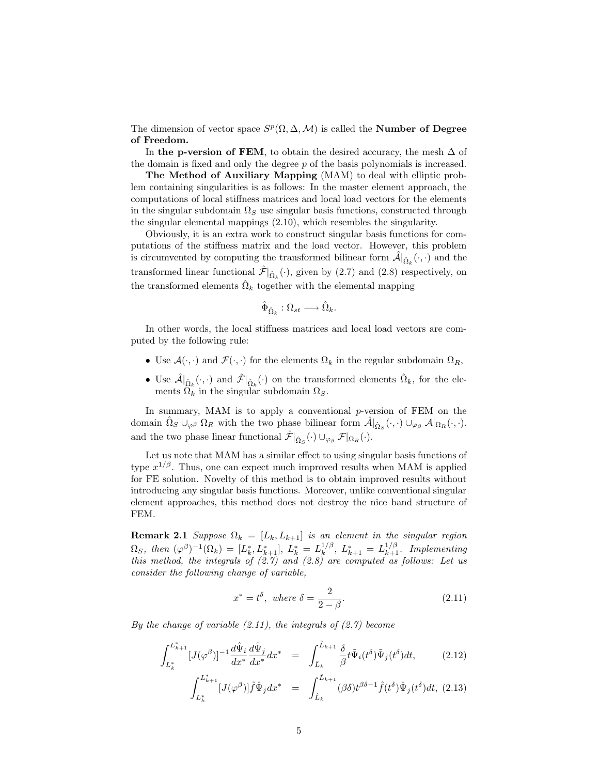The dimension of vector space  $S^p(\Omega, \Delta, \mathcal{M})$  is called the **Number of Degree** of Freedom.

In the p-version of FEM, to obtain the desired accuracy, the mesh  $\Delta$  of the domain is fixed and only the degree p of the basis polynomials is increased.

The Method of Auxiliary Mapping (MAM) to deal with elliptic problem containing singularities is as follows: In the master element approach, the computations of local stiffness matrices and local load vectors for the elements in the singular subdomain  $\Omega_S$  use singular basis functions, constructed through the singular elemental mappings (2.10), which resembles the singularity.

Obviously, it is an extra work to construct singular basis functions for computations of the stiffness matrix and the load vector. However, this problem is circumvented by computing the transformed bilinear form  $\hat{\mathcal{A}}|_{\hat{\Omega}_k}(\cdot,\cdot)$  and the transformed linear functional  $\hat{\mathcal{F}}|_{\hat{\Omega}_k}(\cdot)$ , given by (2.7) and (2.8) respectively, on the transformed elements  $\hat{\Omega}_k$  together with the elemental mapping

$$
\hat{\Phi}_{\hat{\Omega}_k} : \Omega_{st} \longrightarrow \hat{\Omega}_k.
$$

In other words, the local stiffness matrices and local load vectors are computed by the following rule:

- Use  $\mathcal{A}(\cdot, \cdot)$  and  $\mathcal{F}(\cdot, \cdot)$  for the elements  $\Omega_k$  in the regular subdomain  $\Omega_R$ ,
- Use  $\hat{\mathcal{A}}|_{\hat{\Omega}_k}(\cdot,\cdot)$  and  $\hat{\mathcal{F}}|_{\hat{\Omega}_k}(\cdot)$  on the transformed elements  $\hat{\Omega}_k$ , for the elements  $\Omega_k$  in the singular subdomain  $\Omega_S$ .

In summary, MAM is to apply a conventional  $p$ -version of FEM on the domain  $\hat{\Omega}_S \cup_{\varphi^\beta} \Omega_R$  with the two phase bilinear form  $\hat{\mathcal{A}}|_{\hat{\Omega}_S}(\cdot,\cdot) \cup_{\varphi_\beta} \mathcal{A}|_{\Omega_R}(\cdot,\cdot)$ . and the two phase linear functional  $\hat{\mathcal{F}}|_{\hat{\Omega}_S}(\cdot) \cup_{\varphi_\beta} \mathcal{F}|_{\Omega_R}(\cdot)$ .

Let us note that MAM has a similar effect to using singular basis functions of type  $x^{1/\beta}$ . Thus, one can expect much improved results when MAM is applied for FE solution. Novelty of this method is to obtain improved results without introducing any singular basis functions. Moreover, unlike conventional singular element approaches, this method does not destroy the nice band structure of FEM.

**Remark 2.1** Suppose  $\Omega_k = [L_k, L_{k+1}]$  is an element in the singular region  $\Omega_S$ , then  $(\varphi^{\beta})^{-1}(\Omega_k) = [L_k^*, L_{k+1}^*], L_k^* = L_k^{1/\beta}$  $\mathcal{L}_{k+1}^{1/\beta}$ ,  $L_{k+1}^{*} = L_{k+1}^{1/\beta}$ . Implementing this method, the integrals of  $(2.7)$  and  $(2.8)$  are computed as follows: Let us consider the following change of variable,

$$
x^* = t^\delta, \text{ where } \delta = \frac{2}{2 - \beta}.
$$
 (2.11)

By the change of variable  $(2.11)$ , the integrals of  $(2.7)$  become

$$
\int_{L_k^*}^{L_{k+1}^*} [J(\varphi^{\beta})]^{-1} \frac{d\hat{\Psi}_i}{dx^*} \frac{d\hat{\Psi}_j}{dx^*} dx^* = \int_{\hat{L}_k}^{\hat{L}_{k+1}} \frac{\delta}{\beta} t \tilde{\Psi}_i(t^{\delta}) \tilde{\Psi}_j(t^{\delta}) dt, \tag{2.12}
$$

$$
\int_{L_k^*}^{L_{k+1}^*} [J(\varphi^{\beta})] \hat{f} \hat{\Psi}_j dx^* = \int_{\hat{L}_k}^{\hat{L}_{k+1}} (\beta \delta) t^{\beta \delta - 1} \hat{f}(t^{\delta}) \hat{\Psi}_j(t^{\delta}) dt, (2.13)
$$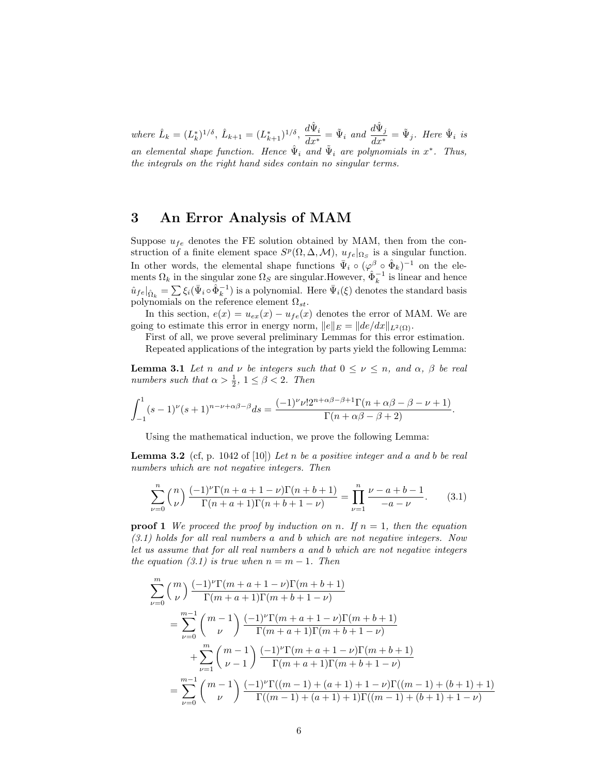where  $\hat{L}_k = (L_k^*)^{1/\delta}, \ \hat{L}_{k+1} = (L_{k+1}^*)^{1/\delta}, \ \frac{d\hat{\Psi}_i}{dx^*}$  $\frac{d\hat{\Psi}_i}{dx^*} = \tilde{\Psi}_i$  and  $\frac{d\hat{\Psi}_j}{dx^*}$  $\frac{d\mathbf{w}_j}{dx^*} = \tilde{\Psi}_j$ . Here  $\hat{\Psi}_i$  is an elemental shape function. Hence  $\hat{\Psi}_i$  and  $\tilde{\Psi}_i$  are polynomials in  $x^*$ . Thus, the integrals on the right hand sides contain no singular terms.

## 3 An Error Analysis of MAM

Suppose  $u_{fe}$  denotes the FE solution obtained by MAM, then from the construction of a finite element space  $S^p(\Omega, \Delta, \mathcal{M})$ ,  $u_{fe}|_{\Omega_S}$  is a singular function. In other words, the elemental shape functions  $\bar{\Psi}_i \circ (\varphi^{\beta} \circ \hat{\Phi}_k)^{-1}$  on the elements  $\Omega_k$  in the singular zone  $\Omega_S$  are singular.However,  $\hat{\Phi}_k^{-1}$  is linear and hence  $\hat{u}_{fe}|_{\hat{\Omega}_k} = \sum \xi_i(\bar{\Psi}_i \circ \hat{\Phi}_k^{-1})$  is a polynomial. Here  $\bar{\Psi}_i(\xi)$  denotes the standard basis polynomials on the reference element  $\Omega_{st}$ .

In this section,  $e(x) = u_{ex}(x) - u_{fe}(x)$  denotes the error of MAM. We are going to estimate this error in energy norm,  $||e||_E = ||de/dx||_{L^2(\Omega)}$ .

First of all, we prove several preliminary Lemmas for this error estimation. Repeated applications of the integration by parts yield the following Lemma:

**Lemma 3.1** Let n and  $\nu$  be integers such that  $0 \leq \nu \leq n$ , and  $\alpha$ ,  $\beta$  be real numbers such that  $\alpha > \frac{1}{2}$ ,  $1 \leq \beta < 2$ . Then

$$
\int_{-1}^1 (s-1)^{\nu} (s+1)^{n-\nu+\alpha\beta-\beta} ds = \frac{(-1)^{\nu} \nu! 2^{n+\alpha\beta-\beta+1} \Gamma(n+\alpha\beta-\beta-\nu+1)}{\Gamma(n+\alpha\beta-\beta+2)}.
$$

Using the mathematical induction, we prove the following Lemma:

**Lemma 3.2** (cf, p. 1042 of [10]) Let n be a positive integer and a and b be real numbers which are not negative integers. Then

$$
\sum_{\nu=0}^{n} {n \choose \nu} \frac{(-1)^{\nu} \Gamma(n+a+1-\nu) \Gamma(n+b+1)}{\Gamma(n+a+1) \Gamma(n+b+1-\nu)} = \prod_{\nu=1}^{n} \frac{\nu-a+b-1}{-a-\nu}.
$$
 (3.1)

**proof 1** We proceed the proof by induction on n. If  $n = 1$ , then the equation  $(3.1)$  holds for all real numbers a and b which are not negative integers. Now let us assume that for all real numbers a and b which are not negative integers the equation (3.1) is true when  $n = m - 1$ . Then

$$
\sum_{\nu=0}^{m} {m \choose \nu} \frac{(-1)^{\nu} \Gamma(m+a+1-\nu) \Gamma(m+b+1)}{\Gamma(m+a+1) \Gamma(m+b+1-\nu)}
$$
\n
$$
= \sum_{\nu=0}^{m-1} {m-1 \choose \nu} \frac{(-1)^{\nu} \Gamma(m+a+1-\nu) \Gamma(m+b+1)}{\Gamma(m+a+1) \Gamma(m+b+1-\nu)}
$$
\n
$$
+ \sum_{\nu=1}^{m} {m-1 \choose \nu-1} \frac{(-1)^{\nu} \Gamma(m+a+1-\nu) \Gamma(m+b+1)}{\Gamma(m+a+1) \Gamma(m+b+1-\nu)}
$$
\n
$$
= \sum_{\nu=0}^{m-1} {m-1 \choose \nu} \frac{(-1)^{\nu} \Gamma((m-1)+(a+1)+1-\nu) \Gamma((m-1)+(b+1)+1)}{\Gamma((m-1)+(a+1)+1) \Gamma((m-1)+(b+1)+1-\nu)}
$$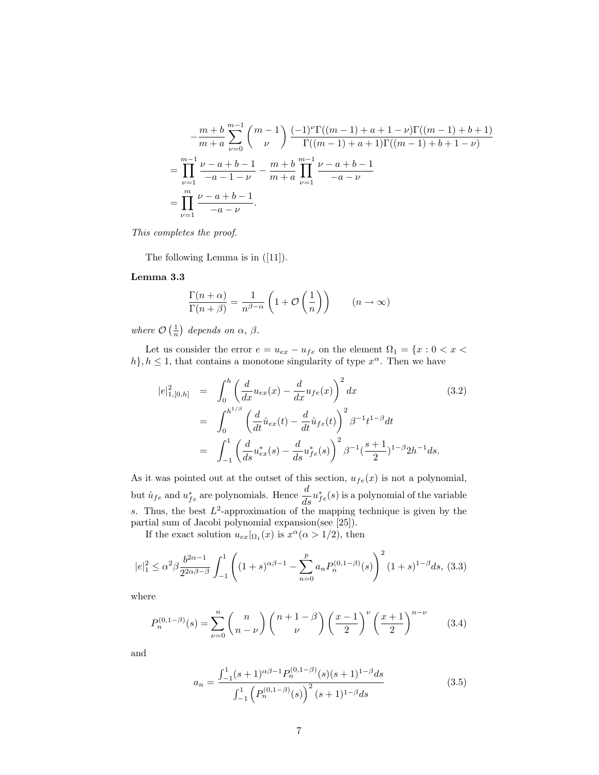$$
-\frac{m+b}{m+a} \sum_{\nu=0}^{m-1} {m-1 \choose \nu} \frac{(-1)^{\nu} \Gamma((m-1)+a+1-\nu) \Gamma((m-1)+b+1)}{\Gamma((m-1)+a+1) \Gamma((m-1)+b+1-\nu)}
$$
  
= 
$$
\prod_{\nu=1}^{m-1} \frac{\nu-a+b-1}{-a-1-\nu} - \frac{m+b}{m+a} \prod_{\nu=1}^{m-1} \frac{\nu-a+b-1}{-a-\nu}
$$
  
= 
$$
\prod_{\nu=1}^{m} \frac{\nu-a+b-1}{-a-\nu}.
$$

This completes the proof.

The following Lemma is in ([11]).

#### Lemma 3.3

$$
\frac{\Gamma(n+\alpha)}{\Gamma(n+\beta)} = \frac{1}{n^{\beta-\alpha}} \left( 1 + \mathcal{O}\left(\frac{1}{n}\right) \right) \qquad (n \to \infty)
$$

where  $\mathcal{O}\left(\frac{1}{n}\right)$  depends on  $\alpha$ ,  $\beta$ .

Let us consider the error  $e=u_{ex}-u_{fe}$  on the element  $\Omega_1$  =  $\{x: 0 < x <$  $h$ ,  $h \leq 1$ , that contains a monotone singularity of type  $x^{\alpha}$ . Then we have

$$
|e|_{1,[0,h]}^2 = \int_0^h \left(\frac{d}{dx}u_{ex}(x) - \frac{d}{dx}u_{fe}(x)\right)^2 dx
$$
(3.2)  

$$
= \int_0^{h^{1/\beta}} \left(\frac{d}{dt}\hat{u}_{ex}(t) - \frac{d}{dt}\hat{u}_{fe}(t)\right)^2 \beta^{-1}t^{1-\beta}dt
$$
  

$$
= \int_{-1}^1 \left(\frac{d}{ds}u_{ex}^*(s) - \frac{d}{ds}u_{fe}^*(s)\right)^2 \beta^{-1}(\frac{s+1}{2})^{1-\beta}2h^{-1}ds.
$$

As it was pointed out at the outset of this section,  $u_{fe}(x)$  is not a polynomial, but  $\hat{u}_{fe}$  and  $u_{fe}^{*}$  are polynomials. Hence  $\frac{d}{ds}u_{fe}^{*}(s)$  is a polynomial of the variable s. Thus, the best  $L^2$ -approximation of the mapping technique is given by the partial sum of Jacobi polynomial expansion(see [25]).

If the exact solution  $u_{ex}|_{\Omega_1}(x)$  is  $x^{\alpha} (\alpha > 1/2)$ , then

$$
|e|_1^2 \le \alpha^2 \beta \frac{b^{2\alpha - 1}}{2^{2\alpha \beta - \beta}} \int_{-1}^1 \left( (1+s)^{\alpha \beta - 1} - \sum_{n=0}^p a_n P_n^{(0, 1 - \beta)}(s) \right)^2 (1+s)^{1 - \beta} ds, (3.3)
$$

where

$$
P_n^{(0,1-\beta)}(s) = \sum_{\nu=0}^n {n \choose n-\nu} {n+1-\beta \choose \nu} \left(\frac{x-1}{2}\right)^{\nu} \left(\frac{x+1}{2}\right)^{n-\nu}
$$
 (3.4)

and

$$
a_n = \frac{\int_{-1}^{1} (s+1)^{\alpha\beta-1} P_n^{(0,1-\beta)}(s)(s+1)^{1-\beta} ds}{\int_{-1}^{1} \left( P_n^{(0,1-\beta)}(s) \right)^2 (s+1)^{1-\beta} ds}
$$
(3.5)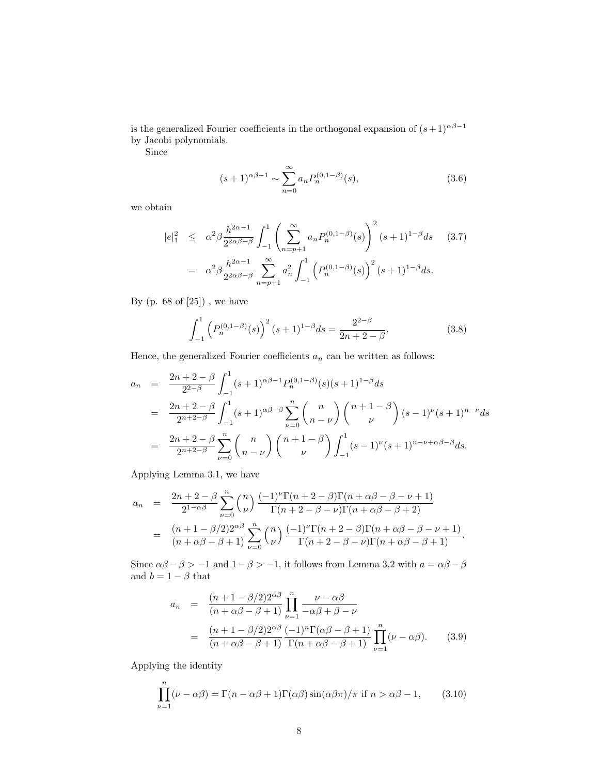is the generalized Fourier coefficients in the orthogonal expansion of  $(s+1)^{\alpha\beta-1}$ by Jacobi polynomials.

Since

$$
(s+1)^{\alpha\beta-1} \sim \sum_{n=0}^{\infty} a_n P_n^{(0,1-\beta)}(s),\tag{3.6}
$$

we obtain

$$
|e|_{1}^{2} \leq \alpha^{2} \beta \frac{h^{2\alpha-1}}{2^{2\alpha\beta-\beta}} \int_{-1}^{1} \left( \sum_{n=p+1}^{\infty} a_{n} P_{n}^{(0,1-\beta)}(s) \right)^{2} (s+1)^{1-\beta} ds \quad (3.7)
$$

$$
= \alpha^{2} \beta \frac{h^{2\alpha-1}}{2^{2\alpha\beta-\beta}} \sum_{n=p+1}^{\infty} a_{n}^{2} \int_{-1}^{1} \left( P_{n}^{(0,1-\beta)}(s) \right)^{2} (s+1)^{1-\beta} ds.
$$

By  $(p. 68 of [25])$ , we have

$$
\int_{-1}^{1} \left( P_n^{(0,1-\beta)}(s) \right)^2 (s+1)^{1-\beta} ds = \frac{2^{2-\beta}}{2n+2-\beta}.
$$
 (3.8)

Hence, the generalized Fourier coefficients  $a_n$  can be written as follows:

$$
a_n = \frac{2n+2-\beta}{2^{2-\beta}} \int_{-1}^1 (s+1)^{\alpha\beta-1} P_n^{(0,1-\beta)}(s)(s+1)^{1-\beta} ds
$$
  
\n
$$
= \frac{2n+2-\beta}{2^{n+2-\beta}} \int_{-1}^1 (s+1)^{\alpha\beta-\beta} \sum_{\nu=0}^n {n \choose n-\nu} {n+1-\beta \choose \nu} (s-1)^{\nu} (s+1)^{n-\nu} ds
$$
  
\n
$$
= \frac{2n+2-\beta}{2^{n+2-\beta}} \sum_{\nu=0}^n {n \choose n-\nu} {n+1-\beta \choose \nu} \int_{-1}^1 (s-1)^{\nu} (s+1)^{n-\nu+\alpha\beta-\beta} ds.
$$

Applying Lemma 3.1, we have

$$
a_n = \frac{2n+2-\beta}{2^{1-\alpha\beta}} \sum_{\nu=0}^n {n \choose \nu} \frac{(-1)^{\nu} \Gamma(n+2-\beta) \Gamma(n+\alpha\beta-\beta-\nu+1)}{\Gamma(n+2-\beta-\nu) \Gamma(n+\alpha\beta-\beta+2)}
$$
  
= 
$$
\frac{(n+1-\beta/2)2^{\alpha\beta}}{(n+\alpha\beta-\beta+1)} \sum_{\nu=0}^n {n \choose \nu} \frac{(-1)^{\nu} \Gamma(n+2-\beta) \Gamma(n+\alpha\beta-\beta-\nu+1)}{\Gamma(n+2-\beta-\nu) \Gamma(n+\alpha\beta-\beta+1)}.
$$

Since  $\alpha\beta - \beta > -1$  and  $1 - \beta > -1$ , it follows from Lemma 3.2 with  $a = \alpha\beta - \beta$ and  $b = 1 - \beta$  that

$$
a_n = \frac{(n+1-\beta/2)2^{\alpha\beta}}{(n+\alpha\beta-\beta+1)} \prod_{\nu=1}^n \frac{\nu-\alpha\beta}{-\alpha\beta+\beta-\nu}
$$
  
= 
$$
\frac{(n+1-\beta/2)2^{\alpha\beta}}{(n+\alpha\beta-\beta+1)} \frac{(-1)^n \Gamma(\alpha\beta-\beta+1)}{\Gamma(n+\alpha\beta-\beta+1)} \prod_{\nu=1}^n (\nu-\alpha\beta).
$$
 (3.9)

Applying the identity

$$
\prod_{\nu=1}^{n} (\nu - \alpha \beta) = \Gamma(n - \alpha \beta + 1) \Gamma(\alpha \beta) \sin(\alpha \beta \pi) / \pi \text{ if } n > \alpha \beta - 1,
$$
 (3.10)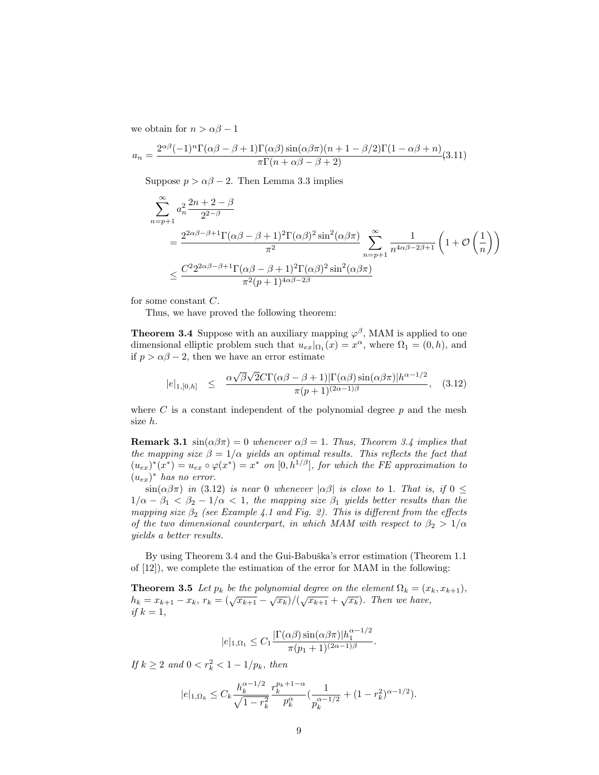we obtain for  $n > \alpha \beta - 1$ 

$$
a_n = \frac{2^{\alpha\beta}(-1)^n \Gamma(\alpha\beta - \beta + 1) \Gamma(\alpha\beta) \sin(\alpha\beta\pi) (n + 1 - \beta/2) \Gamma(1 - \alpha\beta + n)}{\pi \Gamma(n + \alpha\beta - \beta + 2)} (3.11)
$$

Suppose  $p > \alpha \beta - 2$ . Then Lemma 3.3 implies

$$
\sum_{n=p+1}^{\infty} a_n^2 \frac{2n+2-\beta}{2^{2-\beta}}
$$
\n
$$
= \frac{2^{2\alpha\beta-\beta+1} \Gamma(\alpha\beta-\beta+1)^2 \Gamma(\alpha\beta)^2 \sin^2(\alpha\beta\pi)}{\pi^2} \sum_{n=p+1}^{\infty} \frac{1}{n^{4\alpha\beta-2\beta+1}} \left(1+\mathcal{O}\left(\frac{1}{n}\right)\right)
$$
\n
$$
\leq \frac{C^2 2^{2\alpha\beta-\beta+1} \Gamma(\alpha\beta-\beta+1)^2 \Gamma(\alpha\beta)^2 \sin^2(\alpha\beta\pi)}{\pi^2 (p+1)^{4\alpha\beta-2\beta}}
$$

for some constant C.

Thus, we have proved the following theorem:

**Theorem 3.4** Suppose with an auxiliary mapping  $\varphi^{\beta}$ , MAM is applied to one dimensional elliptic problem such that  $u_{ex}|_{\Omega_1}(x) = x^{\alpha}$ , where  $\Omega_1 = (0, h)$ , and if  $p > \alpha \beta - 2$ , then we have an error estimate

$$
|e|_{1,[0,h]} \leq \frac{\alpha \sqrt{\beta} \sqrt{2} C \Gamma(\alpha \beta - \beta + 1) |\Gamma(\alpha \beta) \sin(\alpha \beta \pi)| h^{\alpha - 1/2}}{\pi (p + 1)^{(2\alpha - 1)\beta}}, \quad (3.12)
$$

where  $C$  is a constant independent of the polynomial degree  $p$  and the mesh size h.

**Remark 3.1**  $\sin(\alpha\beta\pi) = 0$  whenever  $\alpha\beta = 1$ . Thus, Theorem 3.4 implies that the mapping size  $\beta = 1/\alpha$  yields an optimal results. This reflects the fact that  $(u_{ex})^*(x^*) = u_{ex} \circ \varphi(x^*) = x^*$  on  $[0, h^{1/\beta}]$ , for which the FE approximation to  $(u_{ex})^*$  has no error.

 $\sin(\alpha\beta\pi)$  in (3.12) is near 0 whenever  $|\alpha\beta|$  is close to 1. That is, if  $0 \leq$  $1/\alpha - \beta_1 < \beta_2 - 1/\alpha < 1$ , the mapping size  $\beta_1$  yields better results than the mapping size  $\beta_2$  (see Example 4.1 and Fig. 2). This is different from the effects of the two dimensional counterpart, in which MAM with respect to  $\beta_2 > 1/\alpha$ yields a better results.

By using Theorem 3.4 and the Gui-Babuška's error estimation (Theorem 1.1) of  $[12]$ , we complete the estimation of the error for MAM in the following:

**Theorem 3.5** Let  $p_k$  be the polynomial degree on the element  $\Omega_k = (x_k, x_{k+1}),$  $h_k = x_{k+1} - x_k, r_k = (\sqrt{x_{k+1}} - \sqrt{x_k})/(\sqrt{x_{k+1}} + \sqrt{x_k}).$  Then we have, if  $k = 1$ ,

$$
|e|_{1,\Omega_1} \leq C_1 \frac{|\Gamma(\alpha \beta) \sin(\alpha \beta \pi)| h_1^{\alpha - 1/2}}{\pi (p_1 + 1)^{(2\alpha - 1)\beta}}.
$$

If  $k \ge 2$  and  $0 < r_k^2 < 1 - 1/p_k$ , then

$$
|e|_{1,\Omega_k} \leq C_k \frac{h_k^{\alpha - 1/2}}{\sqrt{1 - r_k^2}} \frac{r_k^{p_k + 1 - \alpha}}{p_k^{\alpha}} \left( \frac{1}{p_k^{\alpha - 1/2}} + (1 - r_k^2)^{\alpha - 1/2} \right).
$$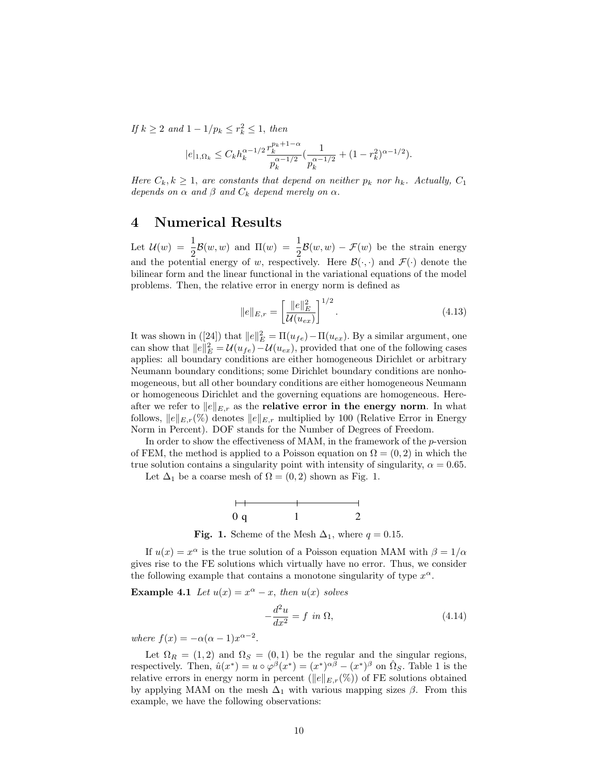If  $k \geq 2$  and  $1 - 1/p_k \leq r_k^2 \leq 1$ , then

$$
|e|_{1,\Omega_k} \leq C_k h_k^{\alpha - 1/2} \frac{r_k^{p_k + 1 - \alpha}}{p_k^{\alpha - 1/2}} \left( \frac{1}{p_k^{\alpha - 1/2}} + (1 - r_k^2)^{\alpha - 1/2} \right).
$$

Here  $C_k, k \geq 1$ , are constants that depend on neither  $p_k$  nor  $h_k$ . Actually,  $C_1$ depends on  $\alpha$  and  $\beta$  and  $C_k$  depend merely on  $\alpha$ .

# 4 Numerical Results

Let  $\mathcal{U}(w) = \frac{1}{2}$  $\frac{1}{2}\mathcal{B}(w, w)$  and  $\Pi(w) = \frac{1}{2}$  $\frac{1}{2}B(w, w) - \mathcal{F}(w)$  be the strain energy and the potential energy of w, respectively. Here  $\mathcal{B}(\cdot, \cdot)$  and  $\mathcal{F}(\cdot)$  denote the bilinear form and the linear functional in the variational equations of the model problems. Then, the relative error in energy norm is defined as

$$
||e||_{E,r} = \left[\frac{||e||_E^2}{\mathcal{U}(u_{ex})}\right]^{1/2}.\tag{4.13}
$$

It was shown in ([24]) that  $||e||_E^2 = \Pi(u_{fe}) - \Pi(u_{ex})$ . By a similar argument, one can show that  $||e||_E^2 = \mathcal{U}(u_{fe}) - \mathcal{U}(u_{ex})$ , provided that one of the following cases applies: all boundary conditions are either homogeneous Dirichlet or arbitrary Neumann boundary conditions; some Dirichlet boundary conditions are nonhomogeneous, but all other boundary conditions are either homogeneous Neumann or homogeneous Dirichlet and the governing equations are homogeneous. Hereafter we refer to  $||e||_{E,r}$  as the relative error in the energy norm. In what follows,  $||e||_{E,r}(\%)$  denotes  $||e||_{E,r}$  multiplied by 100 (Relative Error in Energy Norm in Percent). DOF stands for the Number of Degrees of Freedom.

In order to show the effectiveness of MAM, in the framework of the  $p$ -version of FEM, the method is applied to a Poisson equation on  $\Omega = (0, 2)$  in which the true solution contains a singularity point with intensity of singularity,  $\alpha = 0.65$ .

Let  $\Delta_1$  be a coarse mesh of  $\Omega = (0, 2)$  shown as Fig. 1.



Fig. 1. Scheme of the Mesh  $\Delta_1$ , where  $q = 0.15$ .

If  $u(x) = x^{\alpha}$  is the true solution of a Poisson equation MAM with  $\beta = 1/\alpha$ gives rise to the FE solutions which virtually have no error. Thus, we consider the following example that contains a monotone singularity of type  $x^{\alpha}$ .

**Example 4.1** Let  $u(x) = x^{\alpha} - x$ , then  $u(x)$  solves

$$
-\frac{d^2u}{dx^2} = f \text{ in } \Omega,
$$
\n(4.14)

where  $f(x) = -\alpha(\alpha - 1)x^{\alpha - 2}$ .

Let  $\Omega_R = (1, 2)$  and  $\Omega_S = (0, 1)$  be the regular and the singular regions, respectively. Then,  $\hat{u}(x^*) = u \circ \varphi^{\beta}(x^*) = (x^*)^{\alpha \beta} - (x^*)^{\beta}$  on  $\hat{\Omega}_S$ . Table 1 is the relative errors in energy norm in percent ( $||e||_{E,r}(\%)$ ) of FE solutions obtained by applying MAM on the mesh  $\Delta_1$  with various mapping sizes  $\beta$ . From this example, we have the following observations: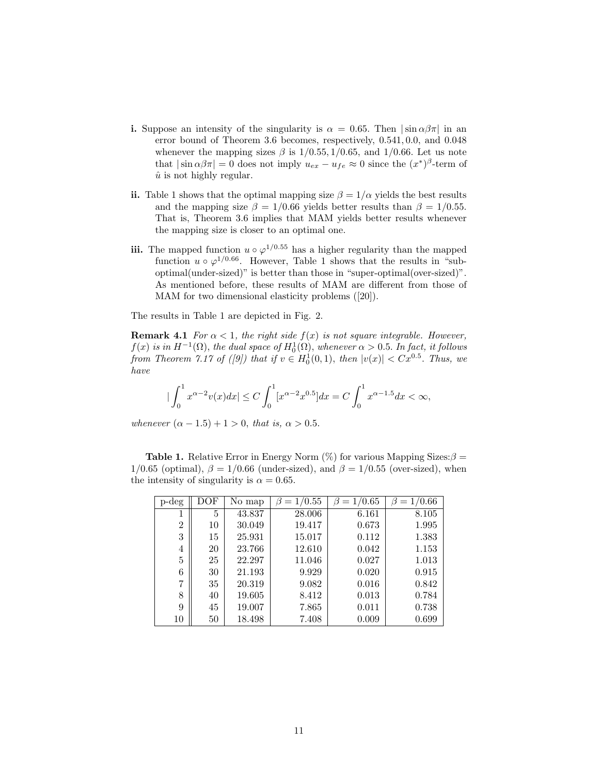- i. Suppose an intensity of the singularity is  $\alpha = 0.65$ . Then  $|\sin \alpha \beta \pi|$  in an error bound of Theorem 3.6 becomes, respectively, 0.541, 0.0, and 0.048 whenever the mapping sizes  $\beta$  is  $1/0.55$ ,  $1/0.65$ , and  $1/0.66$ . Let us note that  $|\sin \alpha \beta \pi| = 0$  does not imply  $u_{ex} - u_{fe} \approx 0$  since the  $(x^*)^{\beta}$ -term of  $\hat{u}$  is not highly regular.
- ii. Table 1 shows that the optimal mapping size  $\beta = 1/\alpha$  yields the best results and the mapping size  $\beta = 1/0.66$  yields better results than  $\beta = 1/0.55$ . That is, Theorem 3.6 implies that MAM yields better results whenever the mapping size is closer to an optimal one.
- **iii.** The mapped function  $u \circ \varphi^{1/0.55}$  has a higher regularity than the mapped function  $u \circ \varphi^{1/0.66}$ . However, Table 1 shows that the results in "suboptimal(under-sized)" is better than those in "super-optimal(over-sized)". As mentioned before, these results of MAM are different from those of MAM for two dimensional elasticity problems ([20]).

The results in Table 1 are depicted in Fig. 2.

**Remark 4.1** For  $\alpha < 1$ , the right side  $f(x)$  is not square integrable. However,  $f(x)$  is in  $H^{-1}(\Omega)$ , the dual space of  $H_0^1(\Omega)$ , whenever  $\alpha > 0.5$ . In fact, it follows from Theorem 7.17 of ([9]) that if  $v \in H_0^1(0,1)$ , then  $|v(x)| < Cx^{0.5}$ . Thus, we have

$$
|\int_0^1 x^{\alpha-2}v(x)dx| \le C\int_0^1 [x^{\alpha-2}x^{0.5}]dx = C\int_0^1 x^{\alpha-1.5}dx < \infty,
$$

whenever  $(\alpha - 1.5) + 1 > 0$ , that is,  $\alpha > 0.5$ .

**Table 1.** Relative Error in Energy Norm  $(\%)$  for various Mapping Sizes:  $\beta$  =  $1/0.65$  (optimal),  $\beta = 1/0.66$  (under-sized), and  $\beta = 1/0.55$  (over-sized), when the intensity of singularity is  $\alpha = 0.65$ .

| p-deg          | $_{\rm DOF}$ | No map | 1/0.55<br>$=$ | 1/0.65<br>$\beta =$ | 1/0.66<br>$=$ |
|----------------|--------------|--------|---------------|---------------------|---------------|
|                | 5            | 43.837 | 28.006        | 6.161               | 8.105         |
| $\overline{2}$ | 10           | 30.049 | 19.417        | 0.673               | 1.995         |
| 3              | 15           | 25.931 | 15.017        | 0.112               | 1.383         |
| 4              | 20           | 23.766 | 12.610        | 0.042               | 1.153         |
| 5              | 25           | 22.297 | 11.046        | 0.027               | 1.013         |
| 6              | 30           | 21.193 | 9.929         | 0.020               | 0.915         |
| 7              | 35           | 20.319 | 9.082         | 0.016               | 0.842         |
| 8              | 40           | 19.605 | 8.412         | 0.013               | 0.784         |
| 9              | 45           | 19.007 | 7.865         | 0.011               | 0.738         |
| 10             | 50           | 18.498 | 7.408         | 0.009               | 0.699         |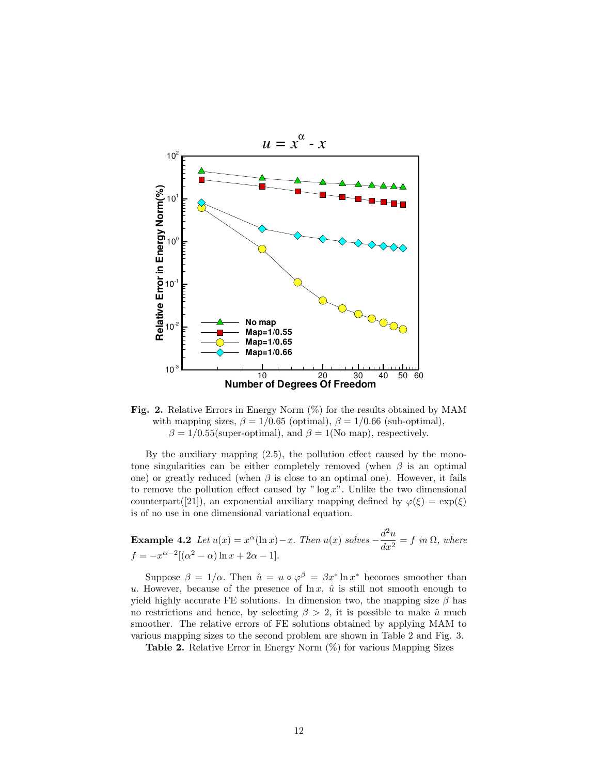

Fig. 2. Relative Errors in Energy Norm  $(\%)$  for the results obtained by MAM with mapping sizes,  $\beta = 1/0.65$  (optimal),  $\beta = 1/0.66$  (sub-optimal),  $\beta = 1/0.55$ (super-optimal), and  $\beta = 1$ (No map), respectively.

By the auxiliary mapping (2.5), the pollution effect caused by the monotone singularities can be either completely removed (when  $\beta$  is an optimal one) or greatly reduced (when  $\beta$  is close to an optimal one). However, it fails to remove the pollution effect caused by " $\log x$ ". Unlike the two dimensional counterpart([21]), an exponential auxiliary mapping defined by  $\varphi(\xi) = \exp(\xi)$ is of no use in one dimensional variational equation.

**Example 4.2** Let  $u(x) = x^{\alpha}(\ln x) - x$ . Then  $u(x)$  solves  $-\frac{d^2u}{dx^2}$  $\frac{d^2u}{dx^2} = f$  in  $\Omega$ , where  $f = -x^{\alpha - 2}[(\alpha^2 - \alpha)\ln x + 2\alpha - 1].$ 

Suppose  $\beta = 1/\alpha$ . Then  $\hat{u} = u \circ \varphi^{\beta} = \beta x^* \ln x^*$  becomes smoother than u. However, because of the presence of  $\ln x$ ,  $\hat{u}$  is still not smooth enough to yield highly accurate FE solutions. In dimension two, the mapping size  $\beta$  has no restrictions and hence, by selecting  $\beta > 2$ , it is possible to make  $\hat{u}$  much smoother. The relative errors of FE solutions obtained by applying MAM to various mapping sizes to the second problem are shown in Table 2 and Fig. 3.

**Table 2.** Relative Error in Energy Norm  $(\%)$  for various Mapping Sizes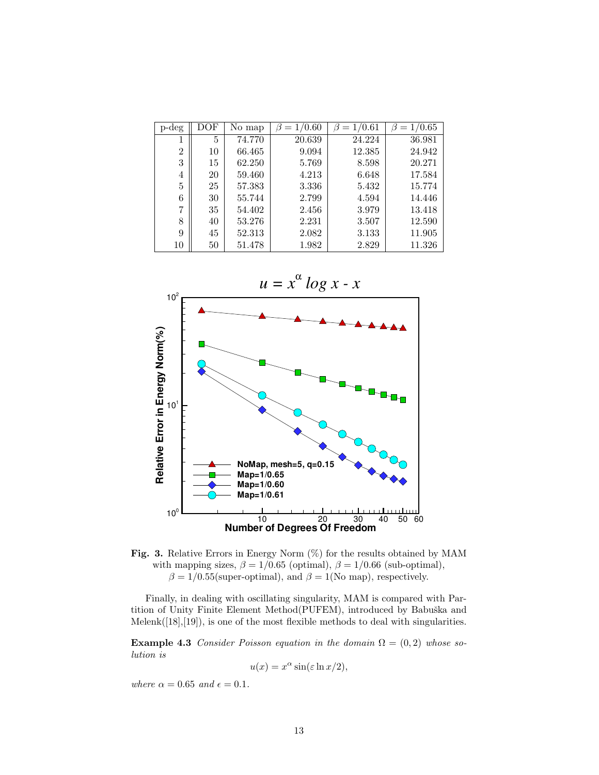| p-deg          | DOF | No map | /0.60<br>$=$ | /0.61<br>$=$ | 1/0.65 |
|----------------|-----|--------|--------------|--------------|--------|
|                | 5   | 74.770 | 20.639       | 24.224       | 36.981 |
| $\overline{2}$ | 10  | 66.465 | 9.094        | 12.385       | 24.942 |
| 3              | 15  | 62.250 | 5.769        | 8.598        | 20.271 |
| 4              | 20  | 59.460 | 4.213        | 6.648        | 17.584 |
| 5              | 25  | 57.383 | 3.336        | 5.432        | 15.774 |
| 6              | 30  | 55.744 | 2.799        | 4.594        | 14.446 |
| 7              | 35  | 54.402 | 2.456        | 3.979        | 13.418 |
| 8              | 40  | 53.276 | 2.231        | 3.507        | 12.590 |
| 9              | 45  | 52.313 | 2.082        | 3.133        | 11.905 |
| 10             | 50  | 51.478 | 1.982        | 2.829        | 11.326 |





Finally, in dealing with oscillating singularity, MAM is compared with Partition of Unity Finite Element Method(PUFEM), introduced by Babuška and Melenk([18],[19]), is one of the most flexible methods to deal with singularities.

Example 4.3 Consider Poisson equation in the domain  $\Omega = (0, 2)$  whose solution is

$$
u(x) = x^{\alpha} \sin(\varepsilon \ln x/2),
$$

where  $\alpha = 0.65$  and  $\epsilon = 0.1$ .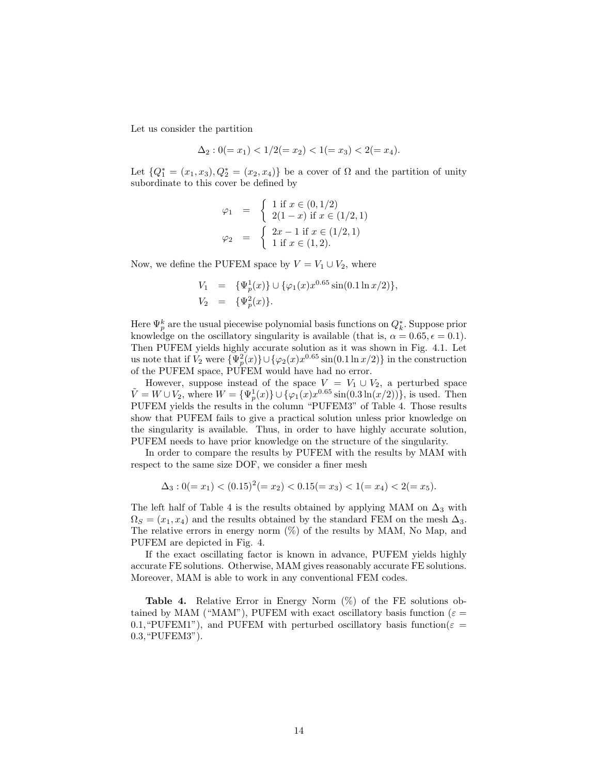Let us consider the partition

$$
\Delta_2: 0(=x_1) < 1/2(=x_2) < 1(=x_3) < 2(=x_4).
$$

Let  $\{Q_1^* = (x_1, x_3), Q_2^* = (x_2, x_4)\}\$ be a cover of  $\Omega$  and the partition of unity subordinate to this cover be defined by

$$
\varphi_1 = \begin{cases} 1 \text{ if } x \in (0, 1/2) \\ 2(1-x) \text{ if } x \in (1/2, 1) \\ \varphi_2 = \begin{cases} 2x - 1 \text{ if } x \in (1/2, 1) \\ 1 \text{ if } x \in (1, 2). \end{cases} \end{cases}
$$

Now, we define the PUFEM space by  $V = V_1 \cup V_2$ , where

$$
V_1 = {\Psi_p^1(x)} \cup {\varphi_1(x)x^{0.65} \sin(0.1 \ln x/2)},
$$
  
\n
$$
V_2 = {\Psi_p^2(x)}.
$$

Here  $\Psi_p^k$  are the usual piecewise polynomial basis functions on  $Q_k^*.$  Suppose prior knowledge on the oscillatory singularity is available (that is,  $\alpha = 0.65, \epsilon = 0.1$ ). Then PUFEM yields highly accurate solution as it was shown in Fig. 4.1. Let us note that if  $V_2$  were  ${\Psi_p^2(x)} \cup {\varphi_2(x)x^{0.65}} \sin(0.1 \ln x/2)$  in the construction of the PUFEM space, PUFEM would have had no error.

However, suppose instead of the space  $V = V_1 \cup V_2$ , a perturbed space  $\tilde{V} = W \cup V_2$ , where  $W = {\Psi_p^1(x)} \cup {\varphi_1(x)x^{0.65} \sin(0.3 \ln(x/2))}$ , is used. Then PUFEM yields the results in the column "PUFEM3" of Table 4. Those results show that PUFEM fails to give a practical solution unless prior knowledge on the singularity is available. Thus, in order to have highly accurate solution, PUFEM needs to have prior knowledge on the structure of the singularity.

In order to compare the results by PUFEM with the results by MAM with respect to the same size DOF, we consider a finer mesh

$$
\Delta_3: 0(=x_1) < (0.15)^2 (=x_2) < 0.15(=x_3) < 1(=x_4) < 2(=x_5).
$$

The left half of Table 4 is the results obtained by applying MAM on  $\Delta_3$  with  $\Omega_S = (x_1, x_4)$  and the results obtained by the standard FEM on the mesh  $\Delta_3$ . The relative errors in energy norm (%) of the results by MAM, No Map, and PUFEM are depicted in Fig. 4.

If the exact oscillating factor is known in advance, PUFEM yields highly accurate FE solutions. Otherwise, MAM gives reasonably accurate FE solutions. Moreover, MAM is able to work in any conventional FEM codes.

Table 4. Relative Error in Energy Norm (%) of the FE solutions obtained by MAM ("MAM"), PUFEM with exact oscillatory basis function ( $\varepsilon =$ 0.1, "PUFEM1"), and PUFEM with perturbed oscillatory basis function( $\varepsilon =$ 0.3,"PUFEM3").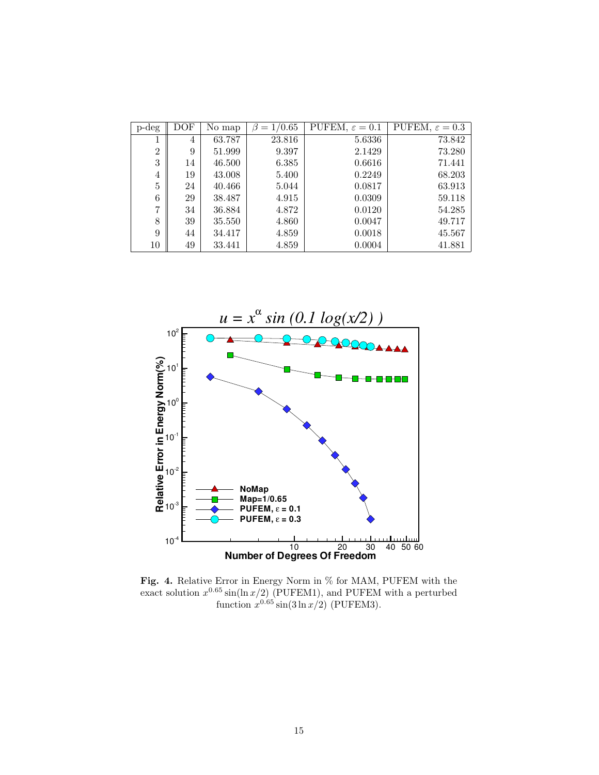| $p$ -deg       | DOF | No map | 1/0.65 | PUFEM, $\varepsilon = 0.1$ | PUFEM, $\varepsilon = 0.3$ |
|----------------|-----|--------|--------|----------------------------|----------------------------|
| 1              | 4   | 63.787 | 23.816 | 5.6336                     | 73.842                     |
| $\overline{2}$ | 9   | 51.999 | 9.397  | 2.1429                     | 73.280                     |
| 3              | 14  | 46.500 | 6.385  | 0.6616                     | 71.441                     |
| $\overline{4}$ | 19  | 43.008 | 5.400  | 0.2249                     | 68.203                     |
| $\overline{5}$ | 24  | 40.466 | 5.044  | 0.0817                     | 63.913                     |
| 6              | 29  | 38.487 | 4.915  | 0.0309                     | 59.118                     |
| 7              | 34  | 36.884 | 4.872  | 0.0120                     | 54.285                     |
| 8              | 39  | 35.550 | 4.860  | 0.0047                     | 49.717                     |
| 9              | 44  | 34.417 | 4.859  | 0.0018                     | 45.567                     |
| 10             | 49  | 33.441 | 4.859  | 0.0004                     | 41.881                     |



Fig. 4. Relative Error in Energy Norm in % for MAM, PUFEM with the exact solution  $x^{0.65}$  sin(ln  $x/2$ ) (PUFEM1), and PUFEM with a perturbed function  $x^{0.65} \sin(3 \ln x/2)$  (PUFEM3).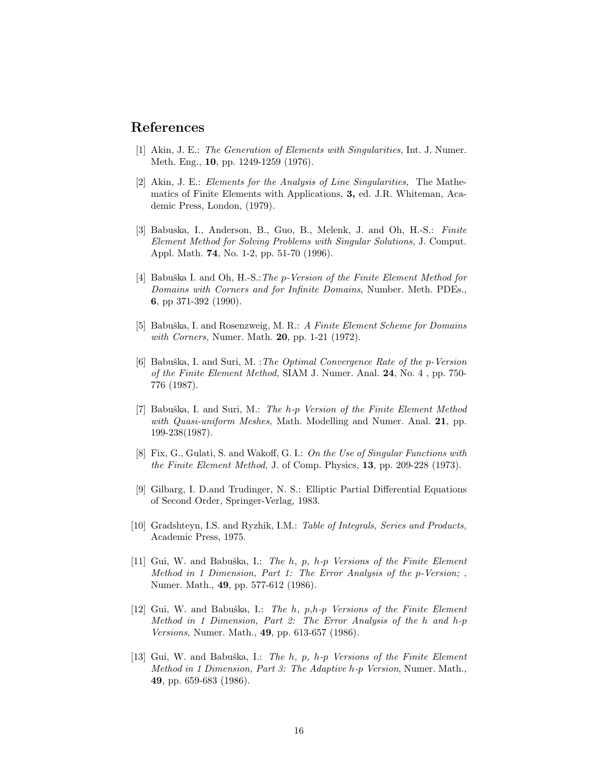## References

- [1] Akin, J. E.: The Generation of Elements with Singularities, Int. J. Numer. Meth. Eng., 10, pp. 1249-1259 (1976).
- [2] Akin, J. E.: Elements for the Analysis of Line Singularities, The Mathematics of Finite Elements with Applications, 3, ed. J.R. Whiteman, Academic Press, London, (1979).
- [3] Babuska, I., Anderson, B., Guo, B., Melenk, J. and Oh, H.-S.: Finite Element Method for Solving Problems with Singular Solutions, J. Comput. Appl. Math. 74, No. 1-2, pp. 51-70 (1996).
- [4] Babuška I. and Oh, H.-S.: The p-Version of the Finite Element Method for Domains with Corners and for Infinite Domains, Number. Meth. PDEs., 6, pp 371-392 (1990).
- [5] Babuška, I. and Rosenzweig, M. R.: A Finite Element Scheme for Domains with Corners, Numer. Math. **20**, pp. 1-21 (1972).
- [6] Babuška, I. and Suri, M. : The Optimal Convergence Rate of the  $p$ -Version of the Finite Element Method, SIAM J. Numer. Anal. 24, No. 4 , pp. 750- 776 (1987).
- [7] Babuška, I. and Suri, M.: The h-p Version of the Finite Element Method with Quasi-uniform Meshes, Math. Modelling and Numer. Anal. 21, pp. 199-238(1987).
- [8] Fix, G., Gulati, S. and Wakoff, G. I.: On the Use of Singular Functions with the Finite Element Method, J. of Comp. Physics, 13, pp. 209-228 (1973).
- [9] Gilbarg, I. D.and Trudinger, N. S.: Elliptic Partial Differential Equations of Second Order, Springer-Verlag, 1983.
- [10] Gradshteyn, I.S. and Ryzhik, I.M.: Table of Integrals, Series and Products, Academic Press, 1975.
- [11] Gui, W. and Babuška, I.: The h, p, h-p Versions of the Finite Element Method in 1 Dimension, Part 1: The Error Analysis of the p-Version; , Numer. Math., 49, pp. 577-612 (1986).
- [12] Gui, W. and Babuška, I.: The h, p,h-p Versions of the Finite Element Method in 1 Dimension, Part 2: The Error Analysis of the h and h-p Versions, Numer. Math., 49, pp. 613-657 (1986).
- [13] Gui, W. and Babuška, I.: The h, p, h-p Versions of the Finite Element Method in 1 Dimension, Part 3: The Adaptive h-p Version, Numer. Math., 49, pp. 659-683 (1986).